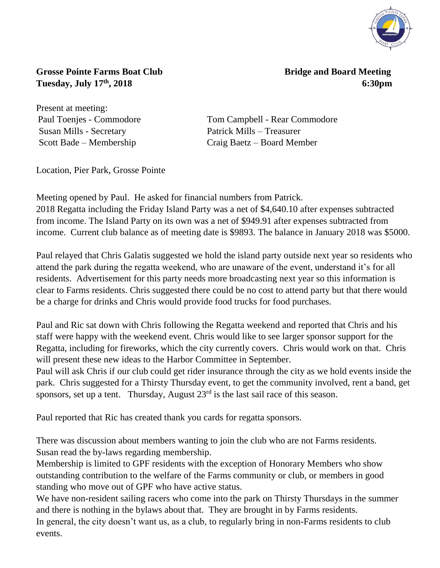

## **Grosse Pointe Farms Boat Club** Bridge and Board Meeting **Tuesday, July 17th**

**, 2018 6:30pm**

Present at meeting: Susan Mills - Secretary Patrick Mills – Treasurer

Paul Toenjes - Commodore Tom Campbell - Rear Commodore Scott Bade – Membership Craig Baetz – Board Member

Location, Pier Park, Grosse Pointe

Meeting opened by Paul. He asked for financial numbers from Patrick. 2018 Regatta including the Friday Island Party was a net of \$4,640.10 after expenses subtracted from income. The Island Party on its own was a net of \$949.91 after expenses subtracted from income. Current club balance as of meeting date is \$9893. The balance in January 2018 was \$5000.

Paul relayed that Chris Galatis suggested we hold the island party outside next year so residents who attend the park during the regatta weekend, who are unaware of the event, understand it's for all residents. Advertisement for this party needs more broadcasting next year so this information is clear to Farms residents. Chris suggested there could be no cost to attend party but that there would be a charge for drinks and Chris would provide food trucks for food purchases.

Paul and Ric sat down with Chris following the Regatta weekend and reported that Chris and his staff were happy with the weekend event. Chris would like to see larger sponsor support for the Regatta, including for fireworks, which the city currently covers. Chris would work on that. Chris will present these new ideas to the Harbor Committee in September.

Paul will ask Chris if our club could get rider insurance through the city as we hold events inside the park. Chris suggested for a Thirsty Thursday event, to get the community involved, rent a band, get sponsors, set up a tent. Thursday, August 23<sup>rd</sup> is the last sail race of this season.

Paul reported that Ric has created thank you cards for regatta sponsors.

There was discussion about members wanting to join the club who are not Farms residents. Susan read the by-laws regarding membership.

Membership is limited to GPF residents with the exception of Honorary Members who show outstanding contribution to the welfare of the Farms community or club, or members in good standing who move out of GPF who have active status.

We have non-resident sailing racers who come into the park on Thirsty Thursdays in the summer and there is nothing in the bylaws about that. They are brought in by Farms residents. In general, the city doesn't want us, as a club, to regularly bring in non-Farms residents to club events.